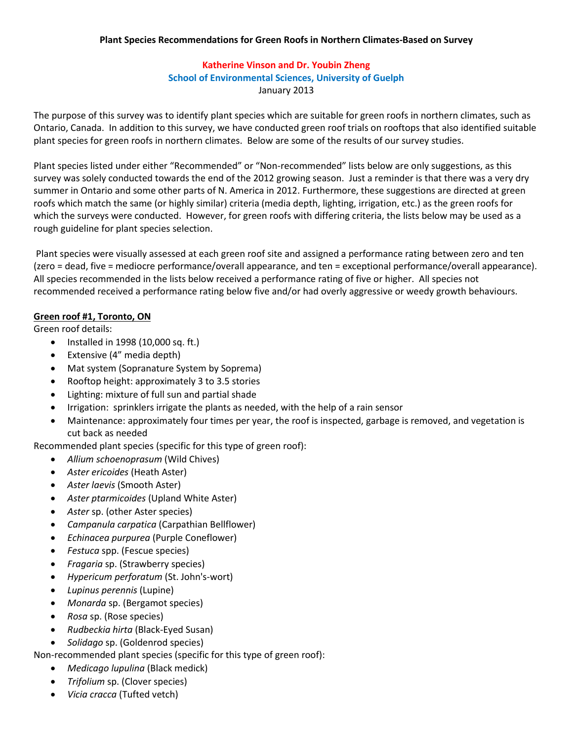# **Katherine Vinson and Dr. Youbin Zheng School of Environmental Sciences, University of Guelph** January 2013

The purpose of this survey was to identify plant species which are suitable for green roofs in northern climates, such as Ontario, Canada. In addition to this survey, we have conducted green roof trials on rooftops that also identified suitable plant species for green roofs in northern climates. Below are some of the results of our survey studies.

Plant species listed under either "Recommended" or "Non-recommended" lists below are only suggestions, as this survey was solely conducted towards the end of the 2012 growing season. Just a reminder is that there was a very dry summer in Ontario and some other parts of N. America in 2012. Furthermore, these suggestions are directed at green roofs which match the same (or highly similar) criteria (media depth, lighting, irrigation, etc.) as the green roofs for which the surveys were conducted. However, for green roofs with differing criteria, the lists below may be used as a rough guideline for plant species selection.

Plant species were visually assessed at each green roof site and assigned a performance rating between zero and ten (zero = dead, five = mediocre performance/overall appearance, and ten = exceptional performance/overall appearance). All species recommended in the lists below received a performance rating of five or higher. All species not recommended received a performance rating below five and/or had overly aggressive or weedy growth behaviours.

### **Green roof #1, Toronto, ON**

Green roof details:

- $\bullet$  Installed in 1998 (10,000 sq. ft.)
- Extensive (4" media depth)
- Mat system (Sopranature System by Soprema)
- $\bullet$  Rooftop height: approximately 3 to 3.5 stories
- Lighting: mixture of full sun and partial shade
- Irrigation: sprinklers irrigate the plants as needed, with the help of a rain sensor
- x Maintenance: approximately four times per year, the roof is inspected, garbage is removed, and vegetation is cut back as needed

Recommended plant species (specific for this type of green roof):

- x *Allium schoenoprasum* (Wild Chives)
- x *Aster ericoides* (Heath Aster)
- Aster *laevis* (Smooth Aster)
- Aster ptarmicoides (Upland White Aster)
- **•** *Aster sp.* (other Aster species)
- x *Campanula carpatica* (Carpathian Bellflower)
- x *Echinacea purpurea* (Purple Coneflower)
- **•** *Festuca* spp. (Fescue species)
- x *Fragaria* sp. (Strawberry species)
- x *Hypericum perforatum* (St. John's-wort)
- Lupinus perennis (Lupine)
- x *Monarda* sp. (Bergamot species)
- x *Rosa* sp. (Rose species)
- x *Rudbeckia hirta* (Black-Eyed Susan)
- x *Solidago* sp. (Goldenrod species)

Non-recommended plant species (specific for this type of green roof):

- x *Medicago lupulina* (Black medick)
- x *Trifolium* sp. (Clover species)
- x *Vicia cracca* (Tufted vetch)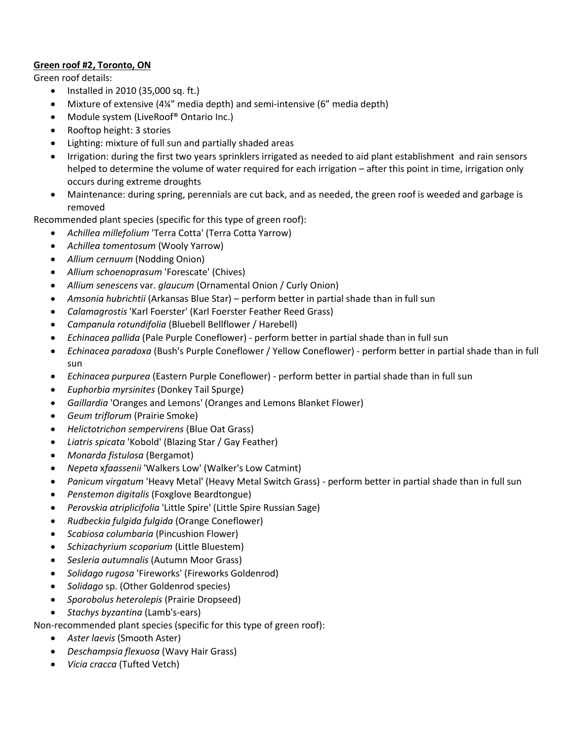### **Green roof #2, Toronto, ON**

Green roof details:

- $\bullet$  Installed in 2010 (35,000 sq. ft.)
- Mixture of extensive (4¼" media depth) and semi-intensive (6" media depth)
- Module system (LiveRoof<sup>®</sup> Ontario Inc.)
- Rooftop height: 3 stories
- Lighting: mixture of full sun and partially shaded areas
- Irrigation: during the first two years sprinklers irrigated as needed to aid plant establishment and rain sensors helped to determine the volume of water required for each irrigation – after this point in time, irrigation only occurs during extreme droughts
- Maintenance: during spring, perennials are cut back, and as needed, the green roof is weeded and garbage is removed

Recommended plant species (specific for this type of green roof):

- x *Achillea millefolium* 'Terra Cotta' (Terra Cotta Yarrow)
- x *Achillea tomentosum* (Wooly Yarrow)
- **•** *Allium cernuum* (Nodding Onion)
- x *Allium schoenoprasum* 'Forescate' (Chives)
- x *Allium senescens* var. *glaucum* (Ornamental Onion / Curly Onion)
- Amsonia hubrichtii (Arkansas Blue Star) perform better in partial shade than in full sun
- x *Calamagrostis* 'Karl Foerster' (Karl Foerster Feather Reed Grass)
- x *Campanula rotundifolia* (Bluebell Bellflower / Harebell)
- x *Echinacea pallida* (Pale Purple Coneflower) perform better in partial shade than in full sun
- x *Echinacea paradoxa* (Bush's Purple Coneflower / Yellow Coneflower) perform better in partial shade than in full sun
- x *Echinacea purpurea* (Eastern Purple Coneflower) perform better in partial shade than in full sun
- x *Euphorbia myrsinites* (Donkey Tail Spurge)
- x *Gaillardia* 'Oranges and Lemons' (Oranges and Lemons Blanket Flower)
- x *Geum triflorum* (Prairie Smoke)
- x *Helictotrichon sempervirens* (Blue Oat Grass)
- Liatris spicata 'Kobold' (Blazing Star / Gay Feather)
- x *Monarda fistulosa* (Bergamot)
- x *Nepeta* x*faassenii* 'Walkers Low' (Walker's Low Catmint)
- x *Panicum virgatum* 'Heavy Metal' (Heavy Metal Switch Grass) perform better in partial shade than in full sun
- x *Penstemon digitalis* (Foxglove Beardtongue)
- x *Perovskia atriplicifolia* 'Little Spire' (Little Spire Russian Sage)
- x *Rudbeckia fulgida fulgida* (Orange Coneflower)
- x *Scabiosa columbaria* (Pincushion Flower)
- x *Schizachyrium scoparium* (Little Bluestem)
- x *Sesleria autumnalis* (Autumn Moor Grass)
- x *Solidago rugosa* 'Fireworks' (Fireworks Goldenrod)
- **•** *Solidago* sp. (Other Goldenrod species)
- x *Sporobolus heterolepis* (Prairie Dropseed)
- x *Stachys byzantina* (Lamb's-ears)

Non-recommended plant species (specific for this type of green roof):

- **•** Aster laevis (Smooth Aster)
- x *Deschampsia flexuosa* (Wavy Hair Grass)
- x *Vicia cracca* (Tufted Vetch)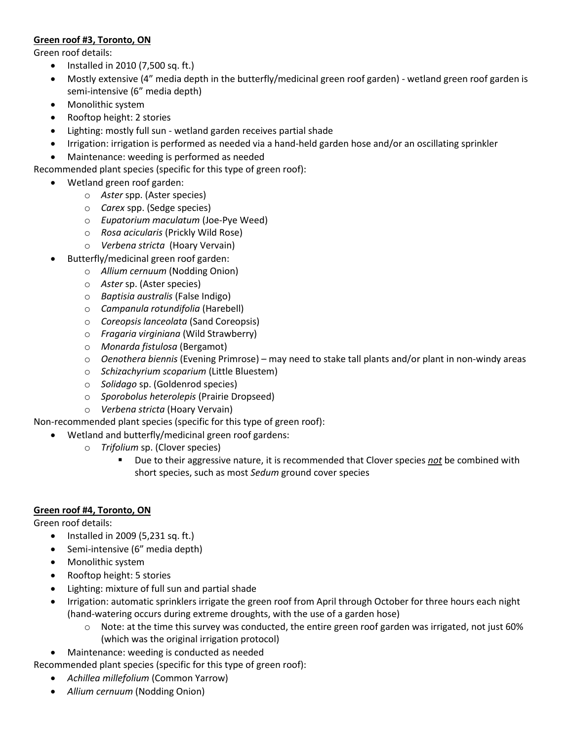## **Green roof #3, Toronto, ON**

Green roof details:

- $\bullet$  Installed in 2010 (7,500 sq. ft.)
- Mostly extensive (4" media depth in the butterfly/medicinal green roof garden) wetland green roof garden is semi-intensive (6" media depth)
- Monolithic system
- Rooftop height: 2 stories
- Lighting: mostly full sun wetland garden receives partial shade
- Irrigation: irrigation is performed as needed via a hand-held garden hose and/or an oscillating sprinkler
- x Maintenance: weeding is performed as needed

Recommended plant species (specific for this type of green roof):

- Wetland green roof garden:
	- o *Aster* spp. (Aster species)
	- o *Carex* spp. (Sedge species)
	- o *Eupatorium maculatum* (Joe-Pye Weed)
	- o *Rosa acicularis* (Prickly Wild Rose)
	- o *Verbena stricta* (Hoary Vervain)
	- Butterfly/medicinal green roof garden:
		- o *Allium cernuum* (Nodding Onion)
		- o *Aster* sp. (Aster species)
		- o *Baptisia australis* (False Indigo)
		- o *Campanula rotundifolia* (Harebell)
		- o *Coreopsis lanceolata* (Sand Coreopsis)
		- o *Fragaria virginiana* (Wild Strawberry)
		- o *Monarda fistulosa* (Bergamot)
		- $\circ$  *Oenothera biennis* (Evening Primrose) may need to stake tall plants and/or plant in non-windy areas
		- o *Schizachyrium scoparium* (Little Bluestem)
		- o *Solidago* sp. (Goldenrod species)
		- o *Sporobolus heterolepis* (Prairie Dropseed)
		- o *Verbena stricta* (Hoary Vervain)

Non-recommended plant species (specific for this type of green roof):

- Wetland and butterfly/medicinal green roof gardens:
	- o *Trifolium* sp. (Clover species)
		- Due to their aggressive nature, it is recommended that Clover species *not* be combined with short species, such as most *Sedum* ground cover species

## **Green roof #4, Toronto, ON**

Green roof details:

- $\bullet$  Installed in 2009 (5,231 sq. ft.)
- Semi-intensive (6" media depth)
- Monolithic system
- Rooftop height: 5 stories
- Lighting: mixture of full sun and partial shade
- Irrigation: automatic sprinklers irrigate the green roof from April through October for three hours each night (hand-watering occurs during extreme droughts, with the use of a garden hose)
	- o Note: at the time this survey was conducted, the entire green roof garden was irrigated, not just 60% (which was the original irrigation protocol)
- Maintenance: weeding is conducted as needed

Recommended plant species (specific for this type of green roof):

- x *Achillea millefolium* (Common Yarrow)
- x *Allium cernuum* (Nodding Onion)